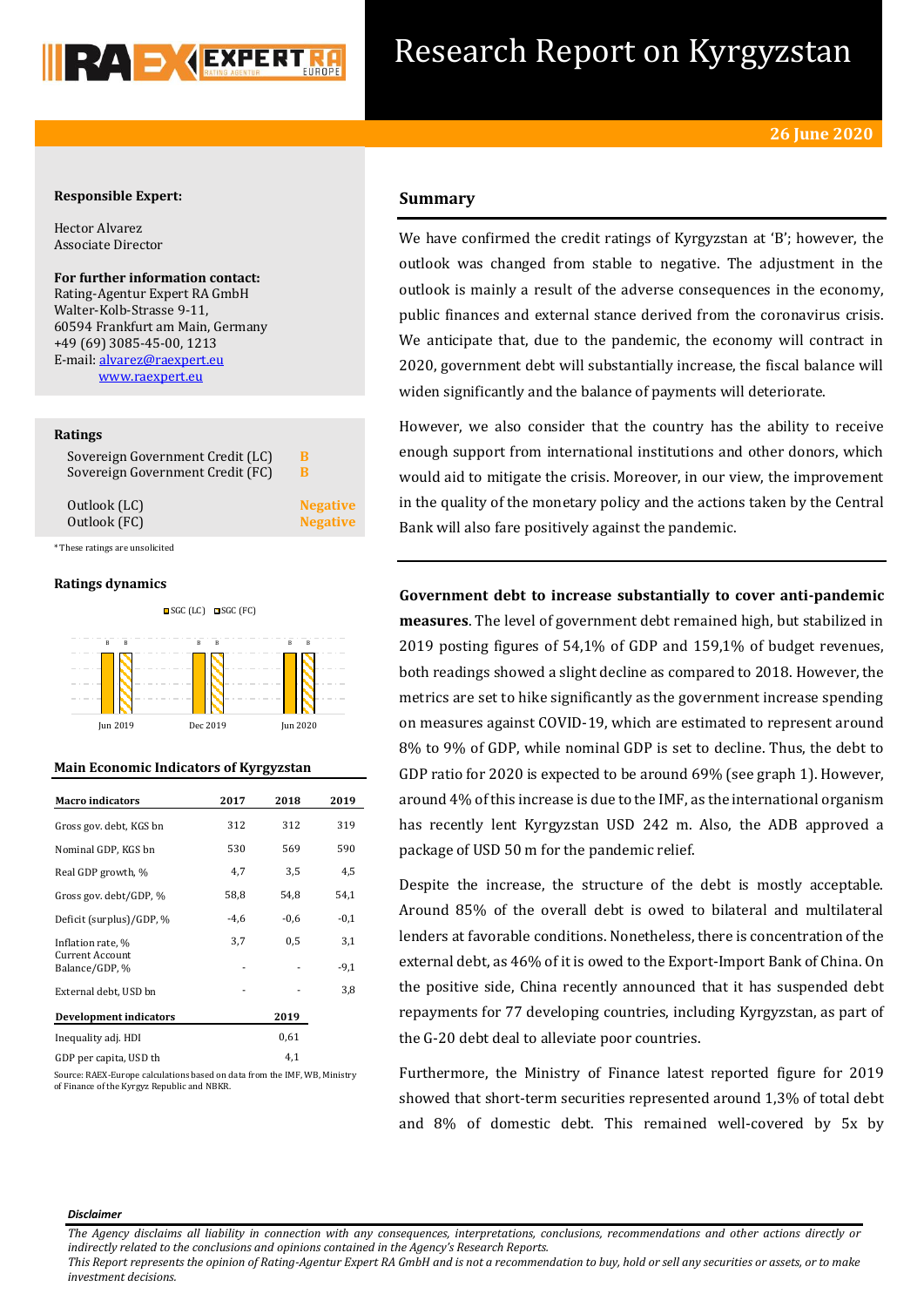

## Research Report on Kyrgyzstan

## **Responsible Expert:**

Hector Alvarez Associate Director

**For further information contact:** Rating-Agentur Expert RA GmbH Walter-Kolb-Strasse 9-11, 60594 Frankfurt am Main, Germany +49 (69) 3085-45-00, 1213 E-mail[: alvarez@raexpert.eu](mailto:alvarez@raexpert.eu) [www.raexpert.eu](http://raexpert.eu/)

## **Ratings**

| Sovereign Government Credit (LC) | в               |
|----------------------------------|-----------------|
| Sovereign Government Credit (FC) | в               |
| Outlook (LC)                     | <b>Negative</b> |
| Outlook (FC)                     | <b>Negative</b> |

\* These ratings are unsolicited

## **Ratings dynamics**





## **Main Economic Indicators of Kyrgyzstan**

| <b>Macro</b> indicators                     | 2017   | 2018   | 2019   |
|---------------------------------------------|--------|--------|--------|
| Gross gov. debt, KGS bn                     | 312    | 312    | 319    |
| Nominal GDP, KGS bn                         | 530    | 569    | 590    |
| Real GDP growth, %                          | 4,7    | 3,5    | 4,5    |
| Gross gov. debt/GDP, %                      | 58,8   | 54,8   | 54,1   |
| Deficit (surplus)/GDP, %                    | $-4,6$ | $-0,6$ | $-0,1$ |
| Inflation rate, %<br><b>Current Account</b> | 3,7    | 0.5    | 3,1    |
| Balance/GDP, %                              |        |        | $-9,1$ |
| External debt, USD bn                       |        |        | 3,8    |
| Development indicators                      |        | 2019   |        |
| Inequality adj. HDI                         |        | 0,61   |        |
| GDP per capita, USD th                      |        | 4,1    |        |

Source: RAEX-Europe calculations based on data from the IMF, WB, Ministry of Finance of the Kyrgyz Republic and NBKR.

## **Summary**

We have confirmed the credit ratings of Kyrgyzstan at 'B'; however, the outlook was changed from stable to negative. The adjustment in the outlook is mainly a result of the adverse consequences in the economy, public finances and external stance derived from the coronavirus crisis. We anticipate that, due to the pandemic, the economy will contract in 2020, government debt will substantially increase, the fiscal balance will widen significantly and the balance of payments will deteriorate.

However, we also consider that the country has the ability to receive enough support from international institutions and other donors, which would aid to mitigate the crisis. Moreover, in our view, the improvement in the quality of the monetary policy and the actions taken by the Central Bank will also fare positively against the pandemic.

**Government debt to increase substantially to cover anti-pandemic measures**. The level of government debt remained high, but stabilized in 2019 posting figures of 54,1% of GDP and 159,1% of budget revenues, both readings showed a slight decline as compared to 2018. However, the metrics are set to hike significantly as the government increase spending on measures against COVID-19, which are estimated to represent around 8% to 9% of GDP, while nominal GDP is set to decline. Thus, the debt to GDP ratio for 2020 is expected to be around 69% (see graph 1). However, around 4% of this increase is due to the IMF, as the international organism has recently lent Kyrgyzstan USD 242 m. Also, the ADB approved a package of USD 50 m for the pandemic relief.

Despite the increase, the structure of the debt is mostly acceptable. Around 85% of the overall debt is owed to bilateral and multilateral lenders at favorable conditions. Nonetheless, there is concentration of the external debt, as 46% of it is owed to the Export-Import Bank of China. On the positive side, China recently announced that it has suspended debt repayments for 77 developing countries, including Kyrgyzstan, as part of the G-20 debt deal to alleviate poor countries.

Furthermore, the Ministry of Finance latest reported figure for 2019 showed that short-term securities represented around 1,3% of total debt and 8% of domestic debt. This remained well-covered by 5x by

#### *Disclaimer*

*The Agency disclaims all liability in connection with any consequences, interpretations, conclusions, recommendations and other actions directly or indirectly related to the conclusions and opinions contained in the Agency's Research Reports.*

*This Report represents the opinion of Rating-Agentur Expert RA GmbH and is not a recommendation to buy, hold or sell any securities or assets, or to make investment decisions.*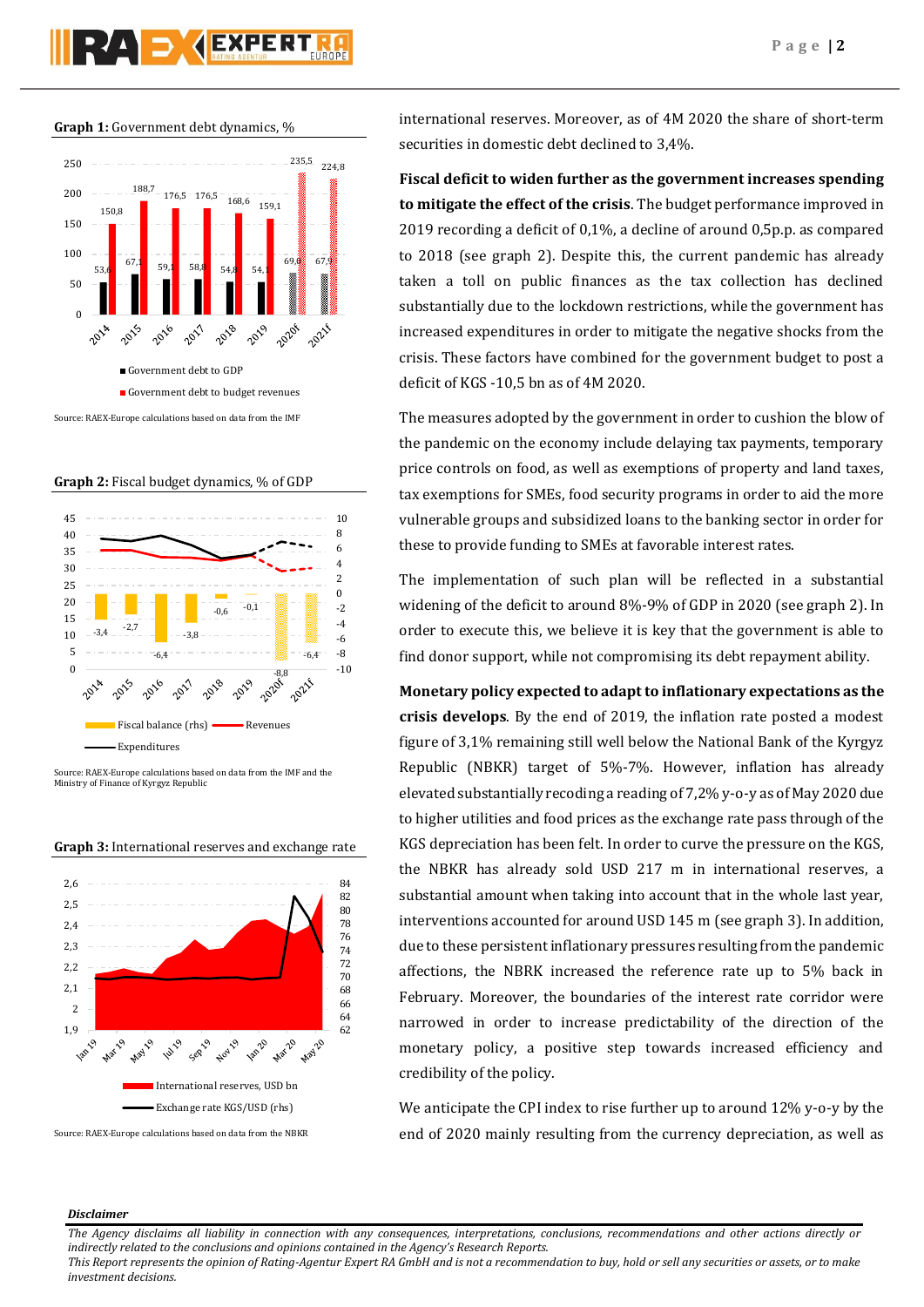# **PZA S GEXPERT**

#### **Graph 1:** Government debt dynamics, %



**Graph 2:** Fiscal budget dynamics, % of GDP



Source: RAEX-Europe calculations based on data from the IMF and the Ministry of Finance of Kyrgyz Republic



**Graph 3:** International reserves and exchange rate

international reserves. Moreover, as of 4M 2020 the share of short-term securities in domestic debt declined to 3,4%.

**Fiscal deficit to widen further as the government increases spending to mitigate the effect of the crisis**. The budget performance improved in 2019 recording a deficit of 0,1%, a decline of around 0,5p.p. as compared to 2018 (see graph 2). Despite this, the current pandemic has already taken a toll on public finances as the tax collection has declined substantially due to the lockdown restrictions, while the government has increased expenditures in order to mitigate the negative shocks from the crisis. These factors have combined for the government budget to post a deficit of KGS -10,5 bn as of 4M 2020.

The measures adopted by the government in order to cushion the blow of the pandemic on the economy include delaying tax payments, temporary price controls on food, as well as exemptions of property and land taxes, tax exemptions for SMEs, food security programs in order to aid the more vulnerable groups and subsidized loans to the banking sector in order for these to provide funding to SMEs at favorable interest rates.

The implementation of such plan will be reflected in a substantial widening of the deficit to around 8%-9% of GDP in 2020 (see graph 2). In order to execute this, we believe it is key that the government is able to find donor support, while not compromising its debt repayment ability.

**Monetary policy expected to adapt to inflationary expectations as the crisis develops**. By the end of 2019, the inflation rate posted a modest figure of 3,1% remaining still well below the National Bank of the Kyrgyz Republic (NBKR) target of 5%-7%. However, inflation has already elevated substantially recoding a reading of 7,2% y-o-y as of May 2020 due to higher utilities and food prices as the exchange rate pass through of the KGS depreciation has been felt. In order to curve the pressure on the KGS, the NBKR has already sold USD 217 m in international reserves, a substantial amount when taking into account that in the whole last year, interventions accounted for around USD 145 m (see graph 3). In addition, due to these persistent inflationary pressures resulting from the pandemic affections, the NBRK increased the reference rate up to 5% back in February. Moreover, the boundaries of the interest rate corridor were narrowed in order to increase predictability of the direction of the monetary policy, a positive step towards increased efficiency and credibility of the policy.

We anticipate the CPI index to rise further up to around 12% y-o-y by the end of 2020 mainly resulting from the currency depreciation, as well as

## *Disclaimer*

*The Agency disclaims all liability in connection with any consequences, interpretations, conclusions, recommendations and other actions directly or indirectly related to the conclusions and opinions contained in the Agency's Research Reports.*

*This Report represents the opinion of Rating-Agentur Expert RA GmbH and is not a recommendation to buy, hold or sell any securities or assets, or to make investment decisions.*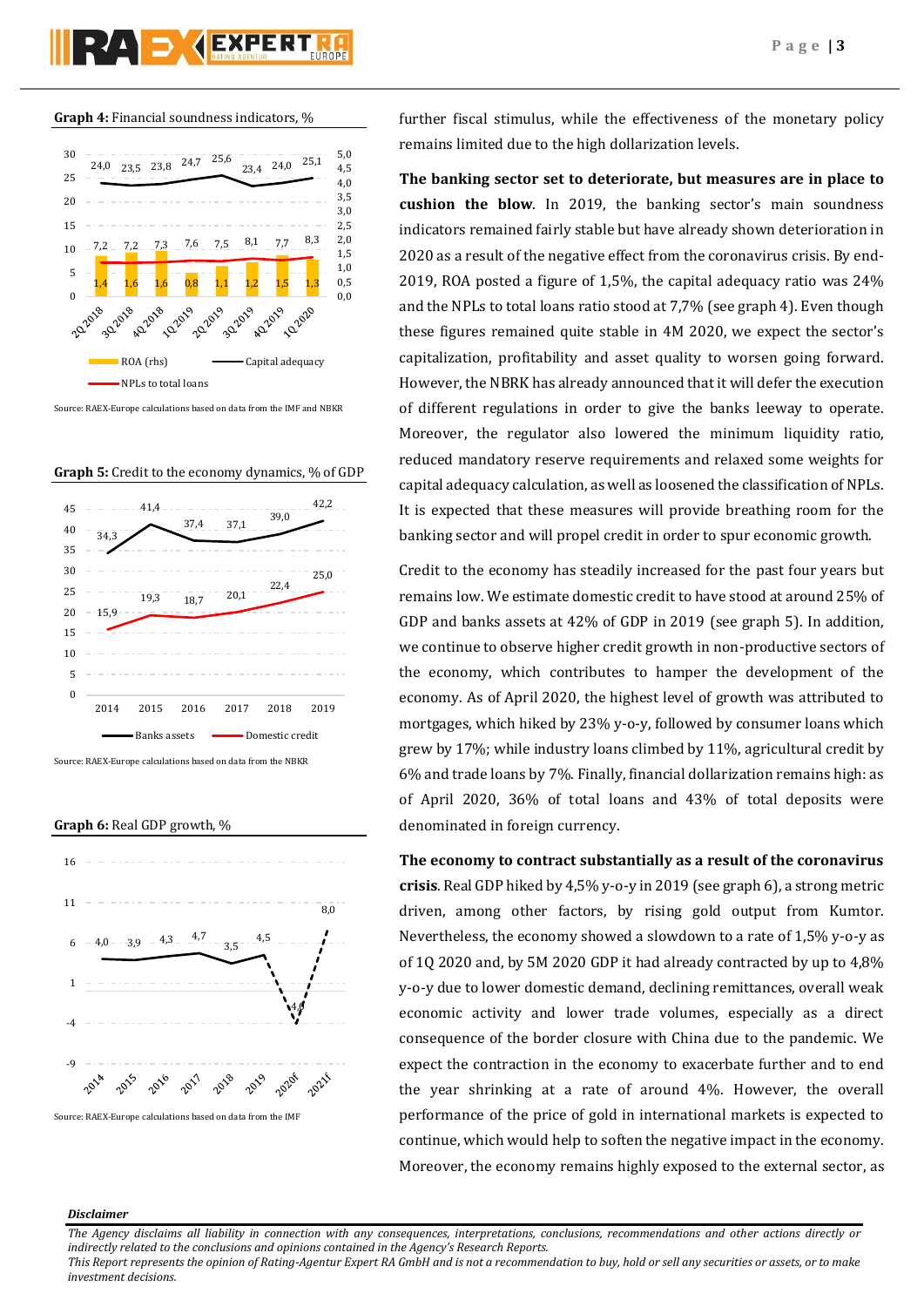**Graph 4:** Financial soundness indicators, %



Source: RAEX-Europe calculations based on data from the IMF and NBKR





Source: RAEX-Europe calculations based on data from the NBKR

**Graph 6:** Real GDP growth, %



further fiscal stimulus, while the effectiveness of the monetary policy remains limited due to the high dollarization levels.

**The banking sector set to deteriorate, but measures are in place to cushion the blow**. In 2019, the banking sector's main soundness indicators remained fairly stable but have already shown deterioration in 2020 as a result of the negative effect from the coronavirus crisis. By end-2019, ROA posted a figure of 1,5%, the capital adequacy ratio was 24% and the NPLs to total loans ratio stood at 7,7% (see graph 4). Even though these figures remained quite stable in 4M 2020, we expect the sector's capitalization, profitability and asset quality to worsen going forward. However, the NBRK has already announced that it will defer the execution of different regulations in order to give the banks leeway to operate. Moreover, the regulator also lowered the minimum liquidity ratio, reduced mandatory reserve requirements and relaxed some weights for capital adequacy calculation, as well as loosened the classification of NPLs. It is expected that these measures will provide breathing room for the banking sector and will propel credit in order to spur economic growth.

Credit to the economy has steadily increased for the past four years but remains low. We estimate domestic credit to have stood at around 25% of GDP and banks assets at 42% of GDP in 2019 (see graph 5). In addition, we continue to observe higher credit growth in non-productive sectors of the economy, which contributes to hamper the development of the economy. As of April 2020, the highest level of growth was attributed to mortgages, which hiked by 23% y-o-y, followed by consumer loans which grew by 17%; while industry loans climbed by 11%, agricultural credit by 6% and trade loans by 7%. Finally, financial dollarization remains high: as of April 2020, 36% of total loans and 43% of total deposits were denominated in foreign currency.

**The economy to contract substantially as a result of the coronavirus crisis**. Real GDP hiked by 4,5% y-o-y in 2019 (see graph 6), a strong metric driven, among other factors, by rising gold output from Kumtor. Nevertheless, the economy showed a slowdown to a rate of 1,5% y-o-y as of 1Q 2020 and, by 5M 2020 GDP it had already contracted by up to 4,8% y-o-y due to lower domestic demand, declining remittances, overall weak economic activity and lower trade volumes, especially as a direct consequence of the border closure with China due to the pandemic. We expect the contraction in the economy to exacerbate further and to end the year shrinking at a rate of around 4%. However, the overall performance of the price of gold in international markets is expected to continue, which would help to soften the negative impact in the economy. Moreover, the economy remains highly exposed to the external sector, as

## *Disclaimer*

*The Agency disclaims all liability in connection with any consequences, interpretations, conclusions, recommendations and other actions directly or indirectly related to the conclusions and opinions contained in the Agency's Research Reports.*

*This Report represents the opinion of Rating-Agentur Expert RA GmbH and is not a recommendation to buy, hold or sell any securities or assets, or to make investment decisions.*